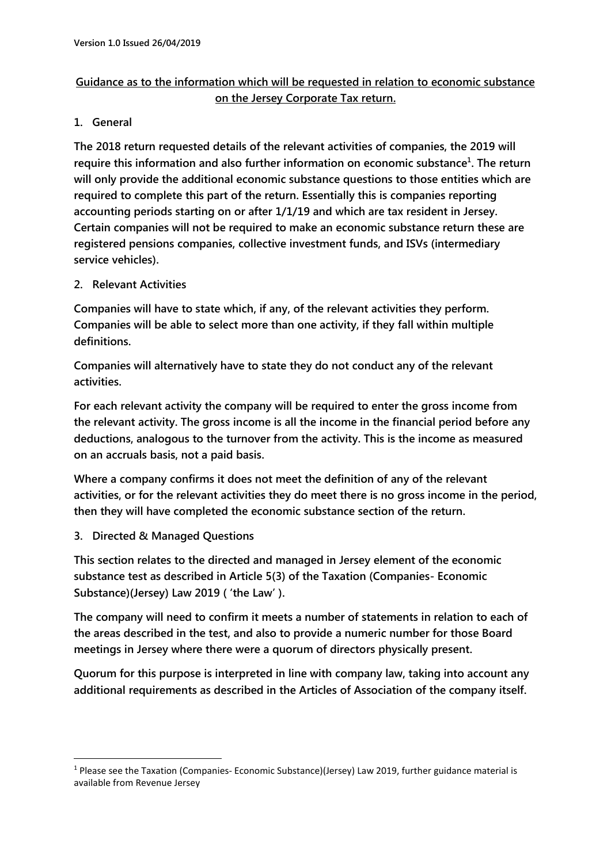## **Guidance as to the information which will be requested in relation to economic substance on the Jersey Corporate Tax return.**

## **1. General**

**The 2018 return requested details of the relevant activities of companies, the 2019 will require this information and also further information on economic substance<sup>1</sup> . The return will only provide the additional economic substance questions to those entities which are required to complete this part of the return. Essentially this is companies reporting accounting periods starting on or after 1/1/19 and which are tax resident in Jersey. Certain companies will not be required to make an economic substance return these are registered pensions companies, collective investment funds, and ISVs (intermediary service vehicles).**

**2. Relevant Activities**

**Companies will have to state which, if any, of the relevant activities they perform. Companies will be able to select more than one activity, if they fall within multiple definitions.**

**Companies will alternatively have to state they do not conduct any of the relevant activities.**

**For each relevant activity the company will be required to enter the gross income from the relevant activity. The gross income is all the income in the financial period before any deductions, analogous to the turnover from the activity. This is the income as measured on an accruals basis, not a paid basis.** 

**Where a company confirms it does not meet the definition of any of the relevant activities, or for the relevant activities they do meet there is no gross income in the period, then they will have completed the economic substance section of the return.**

**3. Directed & Managed Questions**

**.** 

**This section relates to the directed and managed in Jersey element of the economic substance test as described in Article 5(3) of the Taxation (Companies- Economic Substance)(Jersey) Law 2019 ( 'the Law' ).**

**The company will need to confirm it meets a number of statements in relation to each of the areas described in the test, and also to provide a numeric number for those Board meetings in Jersey where there were a quorum of directors physically present.**

**Quorum for this purpose is interpreted in line with company law, taking into account any additional requirements as described in the Articles of Association of the company itself.**

<sup>&</sup>lt;sup>1</sup> Please see the Taxation (Companies- Economic Substance)(Jersey) Law 2019, further guidance material is available from Revenue Jersey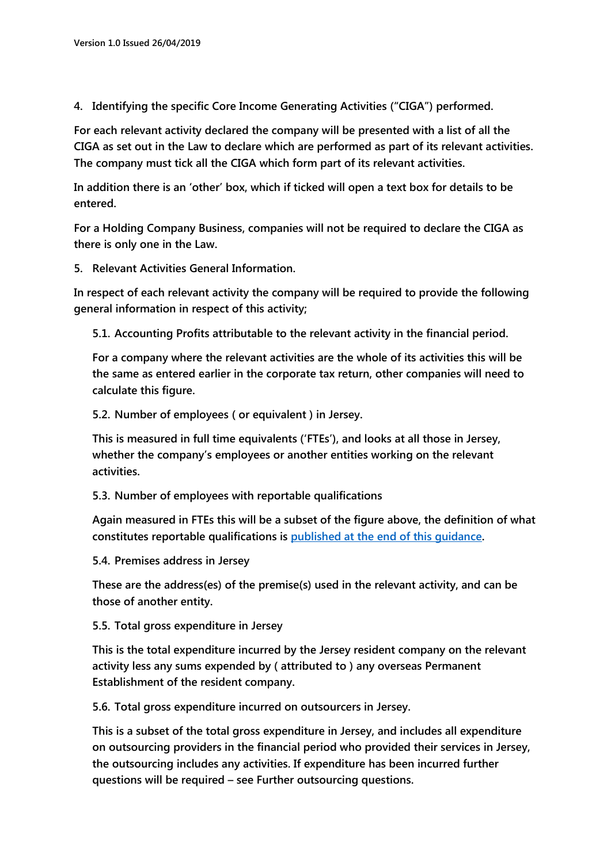**4. Identifying the specific Core Income Generating Activities ("CIGA") performed.**

**For each relevant activity declared the company will be presented with a list of all the CIGA as set out in the Law to declare which are performed as part of its relevant activities. The company must tick all the CIGA which form part of its relevant activities.**

**In addition there is an 'other' box, which if ticked will open a text box for details to be entered.**

**For a Holding Company Business, companies will not be required to declare the CIGA as there is only one in the Law.**

**5. Relevant Activities General Information.**

**In respect of each relevant activity the company will be required to provide the following general information in respect of this activity;**

**5.1. Accounting Profits attributable to the relevant activity in the financial period.**

**For a company where the relevant activities are the whole of its activities this will be the same as entered earlier in the corporate tax return, other companies will need to calculate this figure.**

**5.2. Number of employees ( or equivalent ) in Jersey.**

**This is measured in full time equivalents ('FTEs'), and looks at all those in Jersey, whether the company's employees or another entities working on the relevant activities.**

**5.3. Number of employees with reportable qualifications**

**Again measured in FTEs this will be a subset of the figure above, the definition of what constitutes reportable qualifications is published at [the end of this](#page-3-0) guidance.**

**5.4. Premises address in Jersey**

**These are the address(es) of the premise(s) used in the relevant activity, and can be those of another entity.**

**5.5. Total gross expenditure in Jersey**

**This is the total expenditure incurred by the Jersey resident company on the relevant activity less any sums expended by ( attributed to ) any overseas Permanent Establishment of the resident company.**

**5.6. Total gross expenditure incurred on outsourcers in Jersey.**

**This is a subset of the total gross expenditure in Jersey, and includes all expenditure on outsourcing providers in the financial period who provided their services in Jersey, the outsourcing includes any activities. If expenditure has been incurred further questions will be required – see Further outsourcing questions.**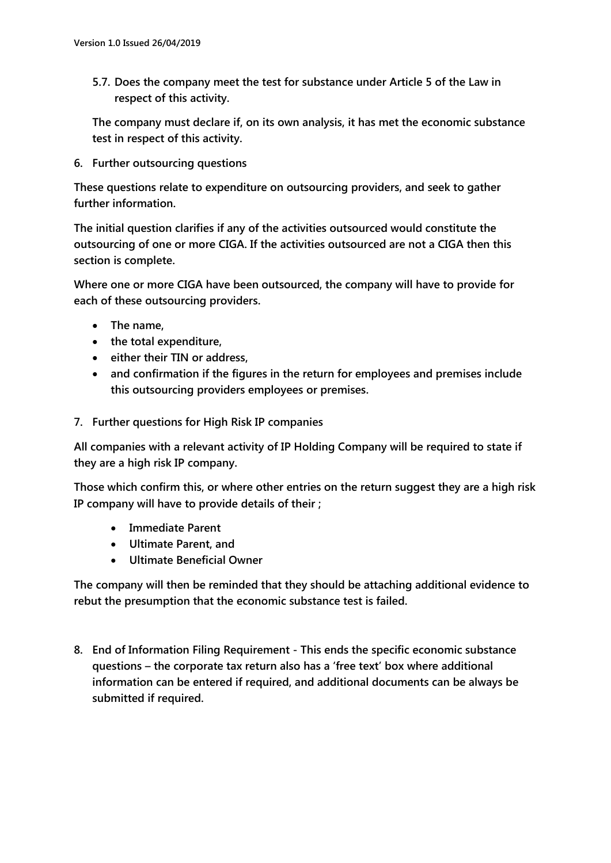**5.7. Does the company meet the test for substance under Article 5 of the Law in respect of this activity.**

**The company must declare if, on its own analysis, it has met the economic substance test in respect of this activity.**

**6. Further outsourcing questions**

**These questions relate to expenditure on outsourcing providers, and seek to gather further information.**

**The initial question clarifies if any of the activities outsourced would constitute the outsourcing of one or more CIGA. If the activities outsourced are not a CIGA then this section is complete.**

**Where one or more CIGA have been outsourced, the company will have to provide for each of these outsourcing providers.**

- **The name,**
- **the total expenditure,**
- **either their TIN or address,**
- **and confirmation if the figures in the return for employees and premises include this outsourcing providers employees or premises.**
- **7. Further questions for High Risk IP companies**

**All companies with a relevant activity of IP Holding Company will be required to state if they are a high risk IP company.**

**Those which confirm this, or where other entries on the return suggest they are a high risk IP company will have to provide details of their ;**

- **Immediate Parent**
- **Ultimate Parent, and**
- **Ultimate Beneficial Owner**

**The company will then be reminded that they should be attaching additional evidence to rebut the presumption that the economic substance test is failed.**

**8. End of Information Filing Requirement - This ends the specific economic substance questions – the corporate tax return also has a 'free text' box where additional information can be entered if required, and additional documents can be always be submitted if required.**